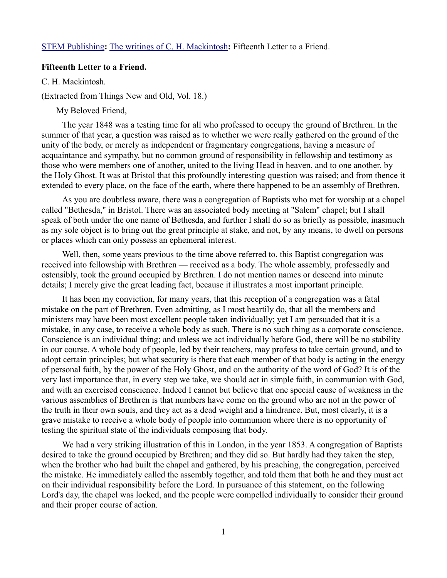## [STEM Publishing](http://www.stempublishing.com/)**:** [The writings of C. H. Mackintosh](http://www.stempublishing.com/authors/mackintosh/index.html)**:** Fifteenth Letter to a Friend.

## **Fifteenth Letter to a Friend.**

C. H. Mackintosh.

(Extracted from Things New and Old, Vol. 18.)

My Beloved Friend,

The year 1848 was a testing time for all who professed to occupy the ground of Brethren. In the summer of that year, a question was raised as to whether we were really gathered on the ground of the unity of the body, or merely as independent or fragmentary congregations, having a measure of acquaintance and sympathy, but no common ground of responsibility in fellowship and testimony as those who were members one of another, united to the living Head in heaven, and to one another, by the Holy Ghost. It was at Bristol that this profoundly interesting question was raised; and from thence it extended to every place, on the face of the earth, where there happened to be an assembly of Brethren.

As you are doubtless aware, there was a congregation of Baptists who met for worship at a chapel called "Bethesda," in Bristol. There was an associated body meeting at "Salem" chapel; but I shall speak of both under the one name of Bethesda, and further I shall do so as briefly as possible, inasmuch as my sole object is to bring out the great principle at stake, and not, by any means, to dwell on persons or places which can only possess an ephemeral interest.

Well, then, some years previous to the time above referred to, this Baptist congregation was received into fellowship with Brethren — received as a body. The whole assembly, professedly and ostensibly, took the ground occupied by Brethren. I do not mention names or descend into minute details; I merely give the great leading fact, because it illustrates a most important principle.

It has been my conviction, for many years, that this reception of a congregation was a fatal mistake on the part of Brethren. Even admitting, as I most heartily do, that all the members and ministers may have been most excellent people taken individually; yet I am persuaded that it is a mistake, in any case, to receive a whole body as such. There is no such thing as a corporate conscience. Conscience is an individual thing; and unless we act individually before God, there will be no stability in our course. A whole body of people, led by their teachers, may profess to take certain ground, and to adopt certain principles; but what security is there that each member of that body is acting in the energy of personal faith, by the power of the Holy Ghost, and on the authority of the word of God? It is of the very last importance that, in every step we take, we should act in simple faith, in communion with God, and with an exercised conscience. Indeed I cannot but believe that one special cause of weakness in the various assemblies of Brethren is that numbers have come on the ground who are not in the power of the truth in their own souls, and they act as a dead weight and a hindrance. But, most clearly, it is a grave mistake to receive a whole body of people into communion where there is no opportunity of testing the spiritual state of the individuals composing that body.

We had a very striking illustration of this in London, in the year 1853. A congregation of Baptists desired to take the ground occupied by Brethren; and they did so. But hardly had they taken the step, when the brother who had built the chapel and gathered, by his preaching, the congregation, perceived the mistake. He immediately called the assembly together, and told them that both he and they must act on their individual responsibility before the Lord. In pursuance of this statement, on the following Lord's day, the chapel was locked, and the people were compelled individually to consider their ground and their proper course of action.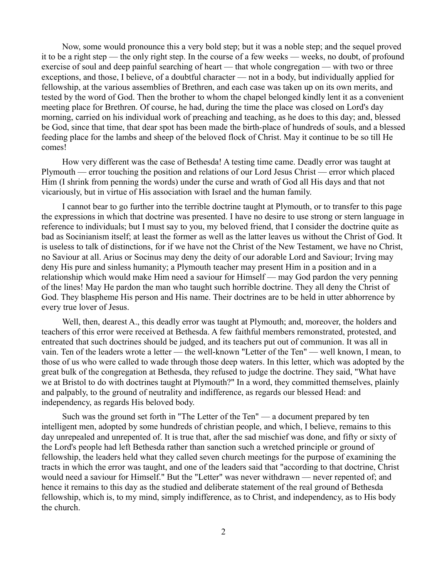Now, some would pronounce this a very bold step; but it was a noble step; and the sequel proved it to be a right step — the only right step. In the course of a few weeks — weeks, no doubt, of profound exercise of soul and deep painful searching of heart — that whole congregation — with two or three exceptions, and those, I believe, of a doubtful character — not in a body, but individually applied for fellowship, at the various assemblies of Brethren, and each case was taken up on its own merits, and tested by the word of God. Then the brother to whom the chapel belonged kindly lent it as a convenient meeting place for Brethren. Of course, he had, during the time the place was closed on Lord's day morning, carried on his individual work of preaching and teaching, as he does to this day; and, blessed be God, since that time, that dear spot has been made the birth-place of hundreds of souls, and a blessed feeding place for the lambs and sheep of the beloved flock of Christ. May it continue to be so till He comes!

How very different was the case of Bethesda! A testing time came. Deadly error was taught at Plymouth — error touching the position and relations of our Lord Jesus Christ — error which placed Him (I shrink from penning the words) under the curse and wrath of God all His days and that not vicariously, but in virtue of His association with Israel and the human family.

I cannot bear to go further into the terrible doctrine taught at Plymouth, or to transfer to this page the expressions in which that doctrine was presented. I have no desire to use strong or stern language in reference to individuals; but I must say to you, my beloved friend, that I consider the doctrine quite as bad as Socinianism itself; at least the former as well as the latter leaves us without the Christ of God. It is useless to talk of distinctions, for if we have not the Christ of the New Testament, we have no Christ, no Saviour at all. Arius or Socinus may deny the deity of our adorable Lord and Saviour; Irving may deny His pure and sinless humanity; a Plymouth teacher may present Him in a position and in a relationship which would make Him need a saviour for Himself — may God pardon the very penning of the lines! May He pardon the man who taught such horrible doctrine. They all deny the Christ of God. They blaspheme His person and His name. Their doctrines are to be held in utter abhorrence by every true lover of Jesus.

Well, then, dearest A., this deadly error was taught at Plymouth; and, moreover, the holders and teachers of this error were received at Bethesda. A few faithful members remonstrated, protested, and entreated that such doctrines should be judged, and its teachers put out of communion. It was all in vain. Ten of the leaders wrote a letter — the well-known "Letter of the Ten" — well known, I mean, to those of us who were called to wade through those deep waters. In this letter, which was adopted by the great bulk of the congregation at Bethesda, they refused to judge the doctrine. They said, "What have we at Bristol to do with doctrines taught at Plymouth?" In a word, they committed themselves, plainly and palpably, to the ground of neutrality and indifference, as regards our blessed Head: and independency, as regards His beloved body.

Such was the ground set forth in "The Letter of the Ten" — a document prepared by ten intelligent men, adopted by some hundreds of christian people, and which, I believe, remains to this day unrepealed and unrepented of. It is true that, after the sad mischief was done, and fifty or sixty of the Lord's people had left Bethesda rather than sanction such a wretched principle or ground of fellowship, the leaders held what they called seven church meetings for the purpose of examining the tracts in which the error was taught, and one of the leaders said that "according to that doctrine, Christ would need a saviour for Himself." But the "Letter" was never withdrawn — never repented of; and hence it remains to this day as the studied and deliberate statement of the real ground of Bethesda fellowship, which is, to my mind, simply indifference, as to Christ, and independency, as to His body the church.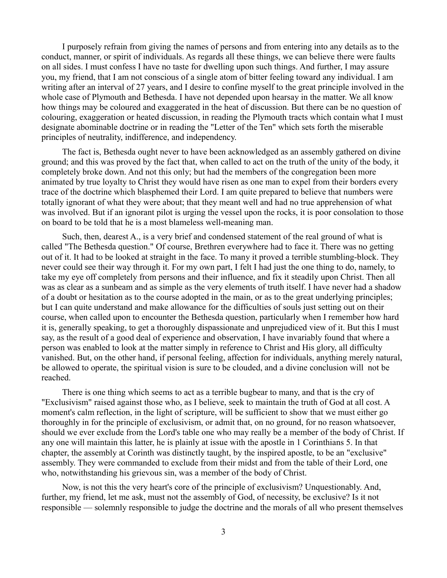I purposely refrain from giving the names of persons and from entering into any details as to the conduct, manner, or spirit of individuals. As regards all these things, we can believe there were faults on all sides. I must confess I have no taste for dwelling upon such things. And further, I may assure you, my friend, that I am not conscious of a single atom of bitter feeling toward any individual. I am writing after an interval of 27 years, and I desire to confine myself to the great principle involved in the whole case of Plymouth and Bethesda. I have not depended upon hearsay in the matter. We all know how things may be coloured and exaggerated in the heat of discussion. But there can be no question of colouring, exaggeration or heated discussion, in reading the Plymouth tracts which contain what I must designate abominable doctrine or in reading the "Letter of the Ten" which sets forth the miserable principles of neutrality, indifference, and independency.

The fact is, Bethesda ought never to have been acknowledged as an assembly gathered on divine ground; and this was proved by the fact that, when called to act on the truth of the unity of the body, it completely broke down. And not this only; but had the members of the congregation been more animated by true loyalty to Christ they would have risen as one man to expel from their borders every trace of the doctrine which blasphemed their Lord. I am quite prepared to believe that numbers were totally ignorant of what they were about; that they meant well and had no true apprehension of what was involved. But if an ignorant pilot is urging the vessel upon the rocks, it is poor consolation to those on board to be told that he is a most blameless well-meaning man.

Such, then, dearest A., is a very brief and condensed statement of the real ground of what is called "The Bethesda question." Of course, Brethren everywhere had to face it. There was no getting out of it. It had to be looked at straight in the face. To many it proved a terrible stumbling-block. They never could see their way through it. For my own part, I felt I had just the one thing to do, namely, to take my eye off completely from persons and their influence, and fix it steadily upon Christ. Then all was as clear as a sunbeam and as simple as the very elements of truth itself. I have never had a shadow of a doubt or hesitation as to the course adopted in the main, or as to the great underlying principles; but I can quite understand and make allowance for the difficulties of souls just setting out on their course, when called upon to encounter the Bethesda question, particularly when I remember how hard it is, generally speaking, to get a thoroughly dispassionate and unprejudiced view of it. But this I must say, as the result of a good deal of experience and observation, I have invariably found that where a person was enabled to look at the matter simply in reference to Christ and His glory, all difficulty vanished. But, on the other hand, if personal feeling, affection for individuals, anything merely natural, be allowed to operate, the spiritual vision is sure to be clouded, and a divine conclusion will not be reached.

There is one thing which seems to act as a terrible bugbear to many, and that is the cry of "Exclusivism" raised against those who, as I believe, seek to maintain the truth of God at all cost. A moment's calm reflection, in the light of scripture, will be sufficient to show that we must either go thoroughly in for the principle of exclusivism, or admit that, on no ground, for no reason whatsoever, should we ever exclude from the Lord's table one who may really be a member of the body of Christ. If any one will maintain this latter, he is plainly at issue with the apostle in 1 Corinthians 5. In that chapter, the assembly at Corinth was distinctly taught, by the inspired apostle, to be an "exclusive" assembly. They were commanded to exclude from their midst and from the table of their Lord, one who, notwithstanding his grievous sin, was a member of the body of Christ.

Now, is not this the very heart's core of the principle of exclusivism? Unquestionably. And, further, my friend, let me ask, must not the assembly of God, of necessity, be exclusive? Is it not responsible — solemnly responsible to judge the doctrine and the morals of all who present themselves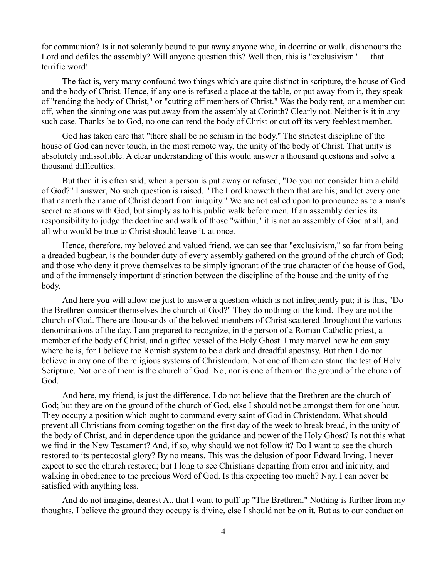for communion? Is it not solemnly bound to put away anyone who, in doctrine or walk, dishonours the Lord and defiles the assembly? Will anyone question this? Well then, this is "exclusivism" — that terrific word!

The fact is, very many confound two things which are quite distinct in scripture, the house of God and the body of Christ. Hence, if any one is refused a place at the table, or put away from it, they speak of "rending the body of Christ," or "cutting off members of Christ." Was the body rent, or a member cut off, when the sinning one was put away from the assembly at Corinth? Clearly not. Neither is it in any such case. Thanks be to God, no one can rend the body of Christ or cut off its very feeblest member.

God has taken care that "there shall be no schism in the body." The strictest discipline of the house of God can never touch, in the most remote way, the unity of the body of Christ. That unity is absolutely indissoluble. A clear understanding of this would answer a thousand questions and solve a thousand difficulties.

But then it is often said, when a person is put away or refused, "Do you not consider him a child of God?" I answer, No such question is raised. "The Lord knoweth them that are his; and let every one that nameth the name of Christ depart from iniquity." We are not called upon to pronounce as to a man's secret relations with God, but simply as to his public walk before men. If an assembly denies its responsibility to judge the doctrine and walk of those "within," it is not an assembly of God at all, and all who would be true to Christ should leave it, at once.

Hence, therefore, my beloved and valued friend, we can see that "exclusivism," so far from being a dreaded bugbear, is the bounder duty of every assembly gathered on the ground of the church of God; and those who deny it prove themselves to be simply ignorant of the true character of the house of God, and of the immensely important distinction between the discipline of the house and the unity of the body.

And here you will allow me just to answer a question which is not infrequently put; it is this, "Do the Brethren consider themselves the church of God?" They do nothing of the kind. They are not the church of God. There are thousands of the beloved members of Christ scattered throughout the various denominations of the day. I am prepared to recognize, in the person of a Roman Catholic priest, a member of the body of Christ, and a gifted vessel of the Holy Ghost. I may marvel how he can stay where he is, for I believe the Romish system to be a dark and dreadful apostasy. But then I do not believe in any one of the religious systems of Christendom. Not one of them can stand the test of Holy Scripture. Not one of them is the church of God. No; nor is one of them on the ground of the church of God.

And here, my friend, is just the difference. I do not believe that the Brethren are the church of God; but they are on the ground of the church of God, else I should not be amongst them for one hour. They occupy a position which ought to command every saint of God in Christendom. What should prevent all Christians from coming together on the first day of the week to break bread, in the unity of the body of Christ, and in dependence upon the guidance and power of the Holy Ghost? Is not this what we find in the New Testament? And, if so, why should we not follow it? Do I want to see the church restored to its pentecostal glory? By no means. This was the delusion of poor Edward Irving. I never expect to see the church restored; but I long to see Christians departing from error and iniquity, and walking in obedience to the precious Word of God. Is this expecting too much? Nay, I can never be satisfied with anything less.

And do not imagine, dearest A., that I want to puff up "The Brethren." Nothing is further from my thoughts. I believe the ground they occupy is divine, else I should not be on it. But as to our conduct on